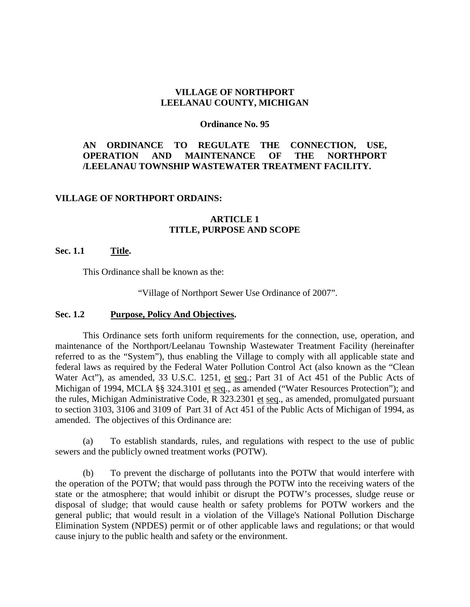#### **VILLAGE OF NORTHPORT LEELANAU COUNTY, MICHIGAN**

#### **Ordinance No. 95**

### **AN ORDINANCE TO REGULATE THE CONNECTION, USE, OPERATION AND MAINTENANCE OF THE NORTHPORT /LEELANAU TOWNSHIP WASTEWATER TREATMENT FACILITY.**

#### **VILLAGE OF NORTHPORT ORDAINS:**

### **ARTICLE 1 TITLE, PURPOSE AND SCOPE**

#### **Sec. 1.1 Title.**

This Ordinance shall be known as the:

"Village of Northport Sewer Use Ordinance of 2007".

#### **Sec. 1.2 Purpose, Policy And Objectives.**

This Ordinance sets forth uniform requirements for the connection, use, operation, and maintenance of the Northport/Leelanau Township Wastewater Treatment Facility (hereinafter referred to as the "System"), thus enabling the Village to comply with all applicable state and federal laws as required by the Federal Water Pollution Control Act (also known as the "Clean Water Act"), as amended, 33 U.S.C. 1251, et seq.; Part 31 of Act 451 of the Public Acts of Michigan of 1994, MCLA §§ 324.3101 et seq., as amended ("Water Resources Protection"); and the rules, Michigan Administrative Code, R 323.2301 et seq., as amended, promulgated pursuant to section 3103, 3106 and 3109 of Part 31 of Act 451 of the Public Acts of Michigan of 1994, as amended. The objectives of this Ordinance are:

(a) To establish standards, rules, and regulations with respect to the use of public sewers and the publicly owned treatment works (POTW).

(b) To prevent the discharge of pollutants into the POTW that would interfere with the operation of the POTW; that would pass through the POTW into the receiving waters of the state or the atmosphere; that would inhibit or disrupt the POTW's processes, sludge reuse or disposal of sludge; that would cause health or safety problems for POTW workers and the general public; that would result in a violation of the Village's National Pollution Discharge Elimination System (NPDES) permit or of other applicable laws and regulations; or that would cause injury to the public health and safety or the environment.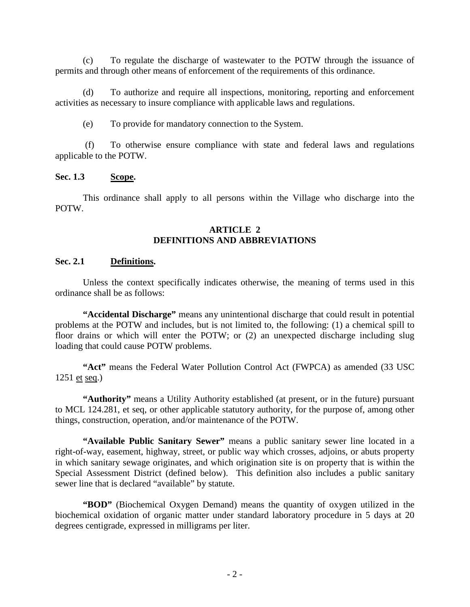(c) To regulate the discharge of wastewater to the POTW through the issuance of permits and through other means of enforcement of the requirements of this ordinance.

(d) To authorize and require all inspections, monitoring, reporting and enforcement activities as necessary to insure compliance with applicable laws and regulations.

(e) To provide for mandatory connection to the System.

(f) To otherwise ensure compliance with state and federal laws and regulations applicable to the POTW.

## **Sec. 1.3 Scope.**

This ordinance shall apply to all persons within the Village who discharge into the POTW.

## **ARTICLE 2 DEFINITIONS AND ABBREVIATIONS**

### **Sec. 2.1 Definitions.**

Unless the context specifically indicates otherwise, the meaning of terms used in this ordinance shall be as follows:

**"Accidental Discharge"** means any unintentional discharge that could result in potential problems at the POTW and includes, but is not limited to, the following: (1) a chemical spill to floor drains or which will enter the POTW; or (2) an unexpected discharge including slug loading that could cause POTW problems.

**"Act"** means the Federal Water Pollution Control Act (FWPCA) as amended (33 USC 1251 et seq.)

**"Authority"** means a Utility Authority established (at present, or in the future) pursuant to MCL 124.281, et seq, or other applicable statutory authority, for the purpose of, among other things, construction, operation, and/or maintenance of the POTW.

**"Available Public Sanitary Sewer"** means a public sanitary sewer line located in a right-of-way, easement, highway, street, or public way which crosses, adjoins, or abuts property in which sanitary sewage originates, and which origination site is on property that is within the Special Assessment District (defined below). This definition also includes a public sanitary sewer line that is declared "available" by statute.

**"BOD"** (Biochemical Oxygen Demand) means the quantity of oxygen utilized in the biochemical oxidation of organic matter under standard laboratory procedure in 5 days at 20 degrees centigrade, expressed in milligrams per liter.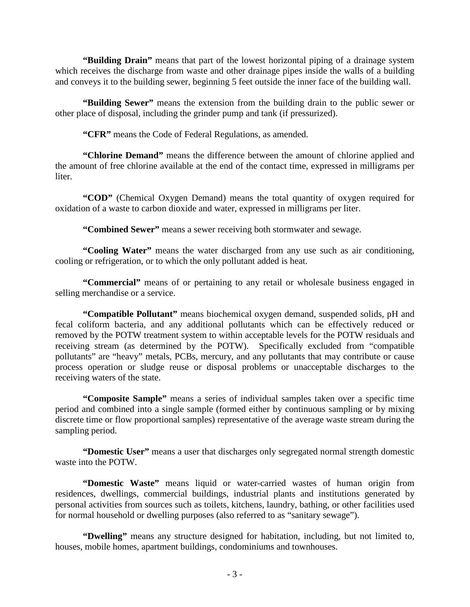**"Building Drain"** means that part of the lowest horizontal piping of a drainage system which receives the discharge from waste and other drainage pipes inside the walls of a building and conveys it to the building sewer, beginning 5 feet outside the inner face of the building wall.

**"Building Sewer"** means the extension from the building drain to the public sewer or other place of disposal, including the grinder pump and tank (if pressurized).

**"CFR"** means the Code of Federal Regulations, as amended.

**"Chlorine Demand"** means the difference between the amount of chlorine applied and the amount of free chlorine available at the end of the contact time, expressed in milligrams per liter.

**"COD"** (Chemical Oxygen Demand) means the total quantity of oxygen required for oxidation of a waste to carbon dioxide and water, expressed in milligrams per liter.

**"Combined Sewer"** means a sewer receiving both stormwater and sewage.

**"Cooling Water"** means the water discharged from any use such as air conditioning, cooling or refrigeration, or to which the only pollutant added is heat.

**"Commercial"** means of or pertaining to any retail or wholesale business engaged in selling merchandise or a service.

**"Compatible Pollutant"** means biochemical oxygen demand, suspended solids, pH and fecal coliform bacteria, and any additional pollutants which can be effectively reduced or removed by the POTW treatment system to within acceptable levels for the POTW residuals and receiving stream (as determined by the POTW). Specifically excluded from "compatible pollutants" are "heavy" metals, PCBs, mercury, and any pollutants that may contribute or cause process operation or sludge reuse or disposal problems or unacceptable discharges to the receiving waters of the state.

**"Composite Sample"** means a series of individual samples taken over a specific time period and combined into a single sample (formed either by continuous sampling or by mixing discrete time or flow proportional samples) representative of the average waste stream during the sampling period.

**"Domestic User"** means a user that discharges only segregated normal strength domestic waste into the POTW.

**"Domestic Waste"** means liquid or water-carried wastes of human origin from residences, dwellings, commercial buildings, industrial plants and institutions generated by personal activities from sources such as toilets, kitchens, laundry, bathing, or other facilities used for normal household or dwelling purposes (also referred to as "sanitary sewage").

**"Dwelling"** means any structure designed for habitation, including, but not limited to, houses, mobile homes, apartment buildings, condominiums and townhouses.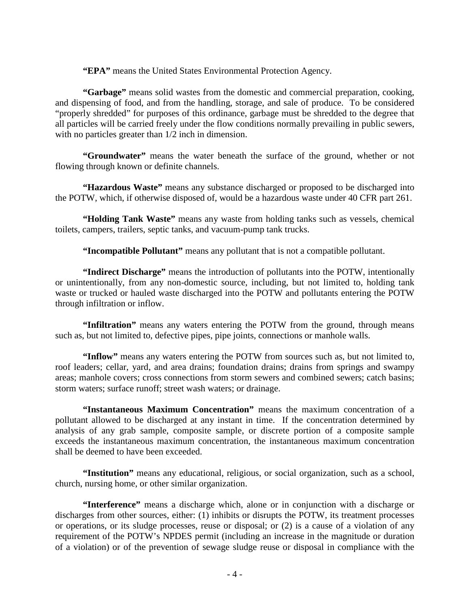**"EPA"** means the United States Environmental Protection Agency.

**"Garbage"** means solid wastes from the domestic and commercial preparation, cooking, and dispensing of food, and from the handling, storage, and sale of produce. To be considered "properly shredded" for purposes of this ordinance, garbage must be shredded to the degree that all particles will be carried freely under the flow conditions normally prevailing in public sewers, with no particles greater than 1/2 inch in dimension.

**"Groundwater"** means the water beneath the surface of the ground, whether or not flowing through known or definite channels.

**"Hazardous Waste"** means any substance discharged or proposed to be discharged into the POTW, which, if otherwise disposed of, would be a hazardous waste under 40 CFR part 261.

**"Holding Tank Waste"** means any waste from holding tanks such as vessels, chemical toilets, campers, trailers, septic tanks, and vacuum-pump tank trucks.

**"Incompatible Pollutant"** means any pollutant that is not a compatible pollutant.

**"Indirect Discharge"** means the introduction of pollutants into the POTW, intentionally or unintentionally, from any non-domestic source, including, but not limited to, holding tank waste or trucked or hauled waste discharged into the POTW and pollutants entering the POTW through infiltration or inflow.

**"Infiltration"** means any waters entering the POTW from the ground, through means such as, but not limited to, defective pipes, pipe joints, connections or manhole walls.

**"Inflow"** means any waters entering the POTW from sources such as, but not limited to, roof leaders; cellar, yard, and area drains; foundation drains; drains from springs and swampy areas; manhole covers; cross connections from storm sewers and combined sewers; catch basins; storm waters; surface runoff; street wash waters; or drainage.

**"Instantaneous Maximum Concentration"** means the maximum concentration of a pollutant allowed to be discharged at any instant in time. If the concentration determined by analysis of any grab sample, composite sample, or discrete portion of a composite sample exceeds the instantaneous maximum concentration, the instantaneous maximum concentration shall be deemed to have been exceeded.

**"Institution"** means any educational, religious, or social organization, such as a school, church, nursing home, or other similar organization.

**"Interference"** means a discharge which, alone or in conjunction with a discharge or discharges from other sources, either: (1) inhibits or disrupts the POTW, its treatment processes or operations, or its sludge processes, reuse or disposal; or (2) is a cause of a violation of any requirement of the POTW's NPDES permit (including an increase in the magnitude or duration of a violation) or of the prevention of sewage sludge reuse or disposal in compliance with the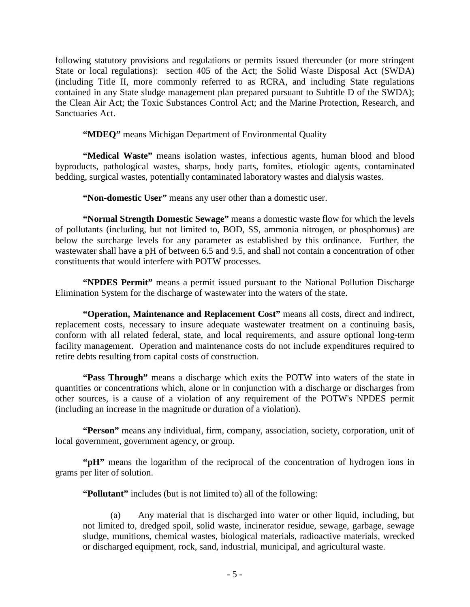following statutory provisions and regulations or permits issued thereunder (or more stringent State or local regulations): section 405 of the Act; the Solid Waste Disposal Act (SWDA) (including Title II, more commonly referred to as RCRA, and including State regulations contained in any State sludge management plan prepared pursuant to Subtitle D of the SWDA); the Clean Air Act; the Toxic Substances Control Act; and the Marine Protection, Research, and Sanctuaries Act.

**"MDEQ"** means Michigan Department of Environmental Quality

**"Medical Waste"** means isolation wastes, infectious agents, human blood and blood byproducts, pathological wastes, sharps, body parts, fomites, etiologic agents, contaminated bedding, surgical wastes, potentially contaminated laboratory wastes and dialysis wastes.

**"Non-domestic User"** means any user other than a domestic user.

**"Normal Strength Domestic Sewage"** means a domestic waste flow for which the levels of pollutants (including, but not limited to, BOD, SS, ammonia nitrogen, or phosphorous) are below the surcharge levels for any parameter as established by this ordinance. Further, the wastewater shall have a pH of between 6.5 and 9.5, and shall not contain a concentration of other constituents that would interfere with POTW processes.

**"NPDES Permit"** means a permit issued pursuant to the National Pollution Discharge Elimination System for the discharge of wastewater into the waters of the state.

**"Operation, Maintenance and Replacement Cost"** means all costs, direct and indirect, replacement costs, necessary to insure adequate wastewater treatment on a continuing basis, conform with all related federal, state, and local requirements, and assure optional long-term facility management. Operation and maintenance costs do not include expenditures required to retire debts resulting from capital costs of construction.

**"Pass Through"** means a discharge which exits the POTW into waters of the state in quantities or concentrations which, alone or in conjunction with a discharge or discharges from other sources, is a cause of a violation of any requirement of the POTW's NPDES permit (including an increase in the magnitude or duration of a violation).

**"Person"** means any individual, firm, company, association, society, corporation, unit of local government, government agency, or group.

**"pH"** means the logarithm of the reciprocal of the concentration of hydrogen ions in grams per liter of solution.

**"Pollutant"** includes (but is not limited to) all of the following:

(a) Any material that is discharged into water or other liquid, including, but not limited to, dredged spoil, solid waste, incinerator residue, sewage, garbage, sewage sludge, munitions, chemical wastes, biological materials, radioactive materials, wrecked or discharged equipment, rock, sand, industrial, municipal, and agricultural waste.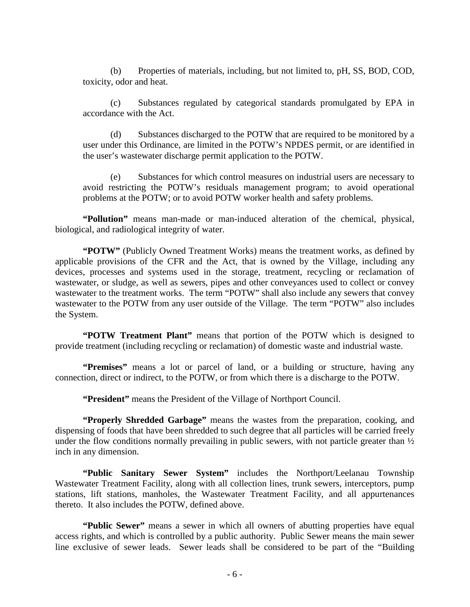(b) Properties of materials, including, but not limited to, pH, SS, BOD, COD, toxicity, odor and heat.

(c) Substances regulated by categorical standards promulgated by EPA in accordance with the Act.

(d) Substances discharged to the POTW that are required to be monitored by a user under this Ordinance, are limited in the POTW's NPDES permit, or are identified in the user's wastewater discharge permit application to the POTW.

(e) Substances for which control measures on industrial users are necessary to avoid restricting the POTW's residuals management program; to avoid operational problems at the POTW; or to avoid POTW worker health and safety problems.

**"Pollution"** means man-made or man-induced alteration of the chemical, physical, biological, and radiological integrity of water.

**"POTW"** (Publicly Owned Treatment Works) means the treatment works, as defined by applicable provisions of the CFR and the Act, that is owned by the Village, including any devices, processes and systems used in the storage, treatment, recycling or reclamation of wastewater, or sludge, as well as sewers, pipes and other conveyances used to collect or convey wastewater to the treatment works. The term "POTW" shall also include any sewers that convey wastewater to the POTW from any user outside of the Village. The term "POTW" also includes the System.

**"POTW Treatment Plant"** means that portion of the POTW which is designed to provide treatment (including recycling or reclamation) of domestic waste and industrial waste.

**"Premises"** means a lot or parcel of land, or a building or structure, having any connection, direct or indirect, to the POTW, or from which there is a discharge to the POTW.

**"President"** means the President of the Village of Northport Council.

**"Properly Shredded Garbage"** means the wastes from the preparation, cooking, and dispensing of foods that have been shredded to such degree that all particles will be carried freely under the flow conditions normally prevailing in public sewers, with not particle greater than  $\frac{1}{2}$ inch in any dimension.

**"Public Sanitary Sewer System"** includes the Northport/Leelanau Township Wastewater Treatment Facility, along with all collection lines, trunk sewers, interceptors, pump stations, lift stations, manholes, the Wastewater Treatment Facility, and all appurtenances thereto. It also includes the POTW, defined above.

**"Public Sewer"** means a sewer in which all owners of abutting properties have equal access rights, and which is controlled by a public authority. Public Sewer means the main sewer line exclusive of sewer leads. Sewer leads shall be considered to be part of the "Building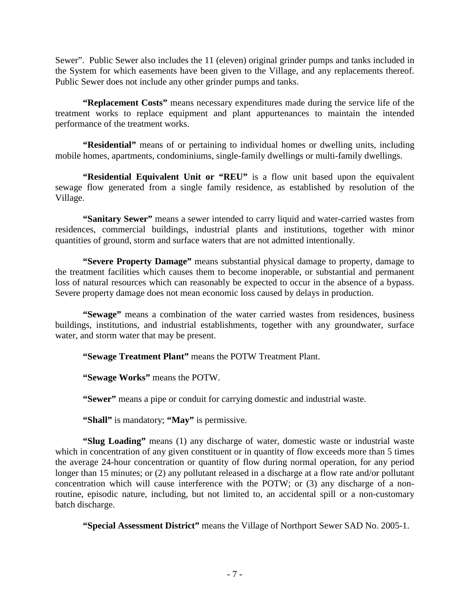Sewer". Public Sewer also includes the 11 (eleven) original grinder pumps and tanks included in the System for which easements have been given to the Village, and any replacements thereof. Public Sewer does not include any other grinder pumps and tanks.

**"Replacement Costs"** means necessary expenditures made during the service life of the treatment works to replace equipment and plant appurtenances to maintain the intended performance of the treatment works.

**"Residential"** means of or pertaining to individual homes or dwelling units, including mobile homes, apartments, condominiums, single-family dwellings or multi-family dwellings.

**"Residential Equivalent Unit or "REU"** is a flow unit based upon the equivalent sewage flow generated from a single family residence, as established by resolution of the Village.

**"Sanitary Sewer"** means a sewer intended to carry liquid and water-carried wastes from residences, commercial buildings, industrial plants and institutions, together with minor quantities of ground, storm and surface waters that are not admitted intentionally.

**"Severe Property Damage"** means substantial physical damage to property, damage to the treatment facilities which causes them to become inoperable, or substantial and permanent loss of natural resources which can reasonably be expected to occur in the absence of a bypass. Severe property damage does not mean economic loss caused by delays in production.

**"Sewage"** means a combination of the water carried wastes from residences, business buildings, institutions, and industrial establishments, together with any groundwater, surface water, and storm water that may be present.

**"Sewage Treatment Plant"** means the POTW Treatment Plant.

**"Sewage Works"** means the POTW.

**"Sewer"** means a pipe or conduit for carrying domestic and industrial waste.

**"Shall"** is mandatory; **"May"** is permissive.

**"Slug Loading"** means (1) any discharge of water, domestic waste or industrial waste which in concentration of any given constituent or in quantity of flow exceeds more than 5 times the average 24-hour concentration or quantity of flow during normal operation, for any period longer than 15 minutes; or (2) any pollutant released in a discharge at a flow rate and/or pollutant concentration which will cause interference with the POTW; or (3) any discharge of a nonroutine, episodic nature, including, but not limited to, an accidental spill or a non-customary batch discharge.

**"Special Assessment District"** means the Village of Northport Sewer SAD No. 2005-1.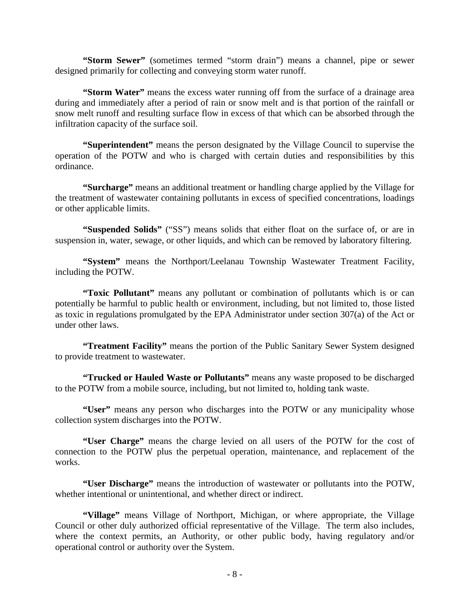**"Storm Sewer"** (sometimes termed "storm drain") means a channel, pipe or sewer designed primarily for collecting and conveying storm water runoff.

**"Storm Water"** means the excess water running off from the surface of a drainage area during and immediately after a period of rain or snow melt and is that portion of the rainfall or snow melt runoff and resulting surface flow in excess of that which can be absorbed through the infiltration capacity of the surface soil.

**"Superintendent"** means the person designated by the Village Council to supervise the operation of the POTW and who is charged with certain duties and responsibilities by this ordinance.

**"Surcharge"** means an additional treatment or handling charge applied by the Village for the treatment of wastewater containing pollutants in excess of specified concentrations, loadings or other applicable limits.

**"Suspended Solids"** ("SS") means solids that either float on the surface of, or are in suspension in, water, sewage, or other liquids, and which can be removed by laboratory filtering.

**"System"** means the Northport/Leelanau Township Wastewater Treatment Facility, including the POTW.

**"Toxic Pollutant"** means any pollutant or combination of pollutants which is or can potentially be harmful to public health or environment, including, but not limited to, those listed as toxic in regulations promulgated by the EPA Administrator under section 307(a) of the Act or under other laws.

**"Treatment Facility"** means the portion of the Public Sanitary Sewer System designed to provide treatment to wastewater.

**"Trucked or Hauled Waste or Pollutants"** means any waste proposed to be discharged to the POTW from a mobile source, including, but not limited to, holding tank waste.

**"User"** means any person who discharges into the POTW or any municipality whose collection system discharges into the POTW.

**"User Charge"** means the charge levied on all users of the POTW for the cost of connection to the POTW plus the perpetual operation, maintenance, and replacement of the works.

**"User Discharge"** means the introduction of wastewater or pollutants into the POTW, whether intentional or unintentional, and whether direct or indirect.

**"Village"** means Village of Northport, Michigan, or where appropriate, the Village Council or other duly authorized official representative of the Village. The term also includes, where the context permits, an Authority, or other public body, having regulatory and/or operational control or authority over the System.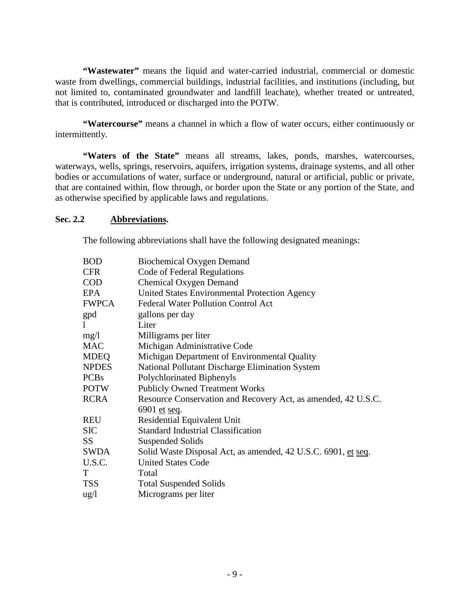**"Wastewater"** means the liquid and water-carried industrial, commercial or domestic waste from dwellings, commercial buildings, industrial facilities, and institutions (including, but not limited to, contaminated groundwater and landfill leachate), whether treated or untreated, that is contributed, introduced or discharged into the POTW.

**"Watercourse"** means a channel in which a flow of water occurs, either continuously or intermittently.

**"Waters of the State"** means all streams, lakes, ponds, marshes, watercourses, waterways, wells, springs, reservoirs, aquifers, irrigation systems, drainage systems, and all other bodies or accumulations of water, surface or underground, natural or artificial, public or private, that are contained within, flow through, or border upon the State or any portion of the State, and as otherwise specified by applicable laws and regulations.

## **Sec. 2.2 Abbreviations.**

The following abbreviations shall have the following designated meanings:

| <b>Biochemical Oxygen Demand</b>                              |
|---------------------------------------------------------------|
| Code of Federal Regulations                                   |
| <b>Chemical Oxygen Demand</b>                                 |
| United States Environmental Protection Agency                 |
| <b>Federal Water Pollution Control Act</b>                    |
| gallons per day                                               |
| Liter                                                         |
| Milligrams per liter                                          |
| Michigan Administrative Code                                  |
| Michigan Department of Environmental Quality                  |
| National Pollutant Discharge Elimination System               |
| Polychlorinated Biphenyls                                     |
| <b>Publicly Owned Treatment Works</b>                         |
| Resource Conservation and Recovery Act, as amended, 42 U.S.C. |
| 6901 et seq.                                                  |
| <b>Residential Equivalent Unit</b>                            |
| <b>Standard Industrial Classification</b>                     |
| <b>Suspended Solids</b>                                       |
| Solid Waste Disposal Act, as amended, 42 U.S.C. 6901, et seq. |
| <b>United States Code</b>                                     |
| Total                                                         |
| <b>Total Suspended Solids</b>                                 |
| Micrograms per liter                                          |
|                                                               |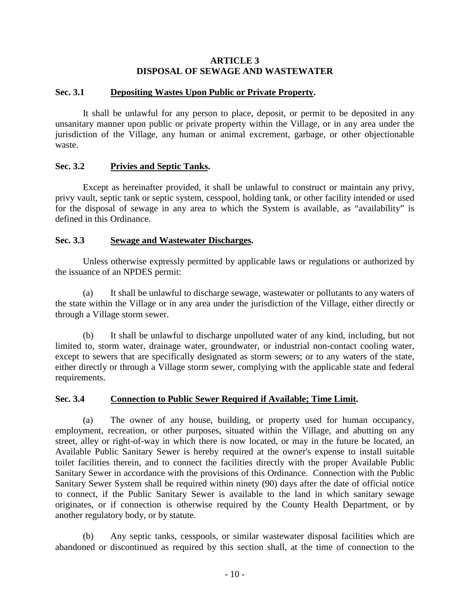### **ARTICLE 3 DISPOSAL OF SEWAGE AND WASTEWATER**

### **Sec. 3.1 Depositing Wastes Upon Public or Private Property.**

It shall be unlawful for any person to place, deposit, or permit to be deposited in any unsanitary manner upon public or private property within the Village, or in any area under the jurisdiction of the Village, any human or animal excrement, garbage, or other objectionable waste.

## **Sec. 3.2 Privies and Septic Tanks.**

Except as hereinafter provided, it shall be unlawful to construct or maintain any privy, privy vault, septic tank or septic system, cesspool, holding tank, or other facility intended or used for the disposal of sewage in any area to which the System is available, as "availability" is defined in this Ordinance.

## **Sec. 3.3 Sewage and Wastewater Discharges.**

Unless otherwise expressly permitted by applicable laws or regulations or authorized by the issuance of an NPDES permit:

(a) It shall be unlawful to discharge sewage, wastewater or pollutants to any waters of the state within the Village or in any area under the jurisdiction of the Village, either directly or through a Village storm sewer.

(b) It shall be unlawful to discharge unpolluted water of any kind, including, but not limited to, storm water, drainage water, groundwater, or industrial non-contact cooling water, except to sewers that are specifically designated as storm sewers; or to any waters of the state, either directly or through a Village storm sewer, complying with the applicable state and federal requirements.

### **Sec. 3.4 Connection to Public Sewer Required if Available; Time Limit.**

(a) The owner of any house, building, or property used for human occupancy, employment, recreation, or other purposes, situated within the Village, and abutting on any street, alley or right-of-way in which there is now located, or may in the future be located, an Available Public Sanitary Sewer is hereby required at the owner's expense to install suitable toilet facilities therein, and to connect the facilities directly with the proper Available Public Sanitary Sewer in accordance with the provisions of this Ordinance. Connection with the Public Sanitary Sewer System shall be required within ninety (90) days after the date of official notice to connect, if the Public Sanitary Sewer is available to the land in which sanitary sewage originates, or if connection is otherwise required by the County Health Department, or by another regulatory body, or by statute.

(b) Any septic tanks, cesspools, or similar wastewater disposal facilities which are abandoned or discontinued as required by this section shall, at the time of connection to the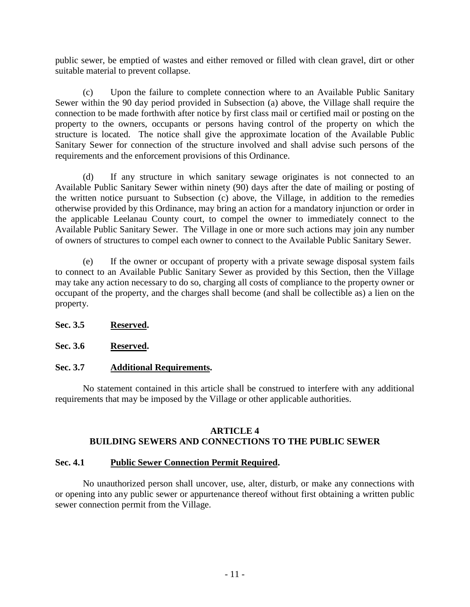public sewer, be emptied of wastes and either removed or filled with clean gravel, dirt or other suitable material to prevent collapse.

(c) Upon the failure to complete connection where to an Available Public Sanitary Sewer within the 90 day period provided in Subsection (a) above, the Village shall require the connection to be made forthwith after notice by first class mail or certified mail or posting on the property to the owners, occupants or persons having control of the property on which the structure is located. The notice shall give the approximate location of the Available Public Sanitary Sewer for connection of the structure involved and shall advise such persons of the requirements and the enforcement provisions of this Ordinance.

(d) If any structure in which sanitary sewage originates is not connected to an Available Public Sanitary Sewer within ninety (90) days after the date of mailing or posting of the written notice pursuant to Subsection (c) above, the Village, in addition to the remedies otherwise provided by this Ordinance, may bring an action for a mandatory injunction or order in the applicable Leelanau County court, to compel the owner to immediately connect to the Available Public Sanitary Sewer. The Village in one or more such actions may join any number of owners of structures to compel each owner to connect to the Available Public Sanitary Sewer.

(e) If the owner or occupant of property with a private sewage disposal system fails to connect to an Available Public Sanitary Sewer as provided by this Section, then the Village may take any action necessary to do so, charging all costs of compliance to the property owner or occupant of the property, and the charges shall become (and shall be collectible as) a lien on the property.

# **Sec. 3.5 Reserved.**

**Sec. 3.6 Reserved.**

# **Sec. 3.7 Additional Requirements.**

No statement contained in this article shall be construed to interfere with any additional requirements that may be imposed by the Village or other applicable authorities.

### **ARTICLE 4 BUILDING SEWERS AND CONNECTIONS TO THE PUBLIC SEWER**

### **Sec. 4.1 Public Sewer Connection Permit Required.**

No unauthorized person shall uncover, use, alter, disturb, or make any connections with or opening into any public sewer or appurtenance thereof without first obtaining a written public sewer connection permit from the Village.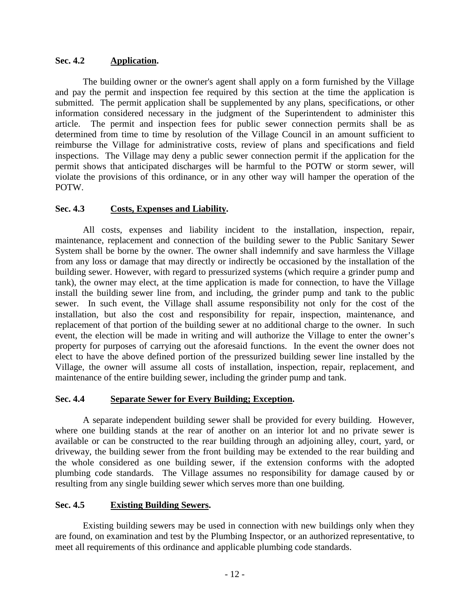## **Sec. 4.2 Application.**

The building owner or the owner's agent shall apply on a form furnished by the Village and pay the permit and inspection fee required by this section at the time the application is submitted. The permit application shall be supplemented by any plans, specifications, or other information considered necessary in the judgment of the Superintendent to administer this article. The permit and inspection fees for public sewer connection permits shall be as determined from time to time by resolution of the Village Council in an amount sufficient to reimburse the Village for administrative costs, review of plans and specifications and field inspections. The Village may deny a public sewer connection permit if the application for the permit shows that anticipated discharges will be harmful to the POTW or storm sewer, will violate the provisions of this ordinance, or in any other way will hamper the operation of the POTW.

# **Sec. 4.3 Costs, Expenses and Liability.**

All costs, expenses and liability incident to the installation, inspection, repair, maintenance, replacement and connection of the building sewer to the Public Sanitary Sewer System shall be borne by the owner. The owner shall indemnify and save harmless the Village from any loss or damage that may directly or indirectly be occasioned by the installation of the building sewer. However, with regard to pressurized systems (which require a grinder pump and tank), the owner may elect, at the time application is made for connection, to have the Village install the building sewer line from, and including, the grinder pump and tank to the public sewer. In such event, the Village shall assume responsibility not only for the cost of the installation, but also the cost and responsibility for repair, inspection, maintenance, and replacement of that portion of the building sewer at no additional charge to the owner. In such event, the election will be made in writing and will authorize the Village to enter the owner's property for purposes of carrying out the aforesaid functions. In the event the owner does not elect to have the above defined portion of the pressurized building sewer line installed by the Village, the owner will assume all costs of installation, inspection, repair, replacement, and maintenance of the entire building sewer, including the grinder pump and tank.

### **Sec. 4.4 Separate Sewer for Every Building; Exception.**

A separate independent building sewer shall be provided for every building. However, where one building stands at the rear of another on an interior lot and no private sewer is available or can be constructed to the rear building through an adjoining alley, court, yard, or driveway, the building sewer from the front building may be extended to the rear building and the whole considered as one building sewer, if the extension conforms with the adopted plumbing code standards. The Village assumes no responsibility for damage caused by or resulting from any single building sewer which serves more than one building.

### **Sec. 4.5 Existing Building Sewers.**

Existing building sewers may be used in connection with new buildings only when they are found, on examination and test by the Plumbing Inspector, or an authorized representative, to meet all requirements of this ordinance and applicable plumbing code standards.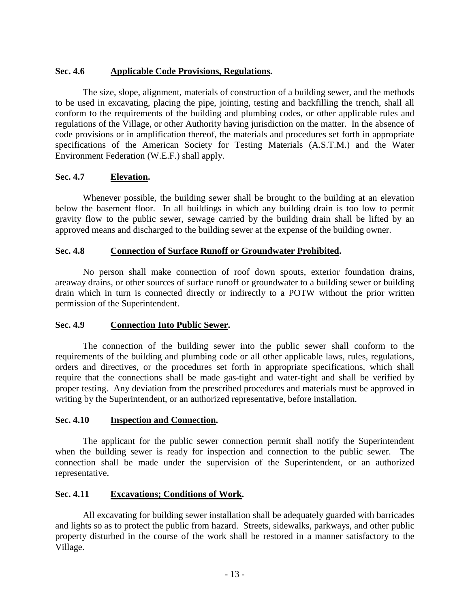# **Sec. 4.6 Applicable Code Provisions, Regulations.**

The size, slope, alignment, materials of construction of a building sewer, and the methods to be used in excavating, placing the pipe, jointing, testing and backfilling the trench, shall all conform to the requirements of the building and plumbing codes, or other applicable rules and regulations of the Village, or other Authority having jurisdiction on the matter. In the absence of code provisions or in amplification thereof, the materials and procedures set forth in appropriate specifications of the American Society for Testing Materials (A.S.T.M.) and the Water Environment Federation (W.E.F.) shall apply.

# **Sec. 4.7 Elevation.**

Whenever possible, the building sewer shall be brought to the building at an elevation below the basement floor. In all buildings in which any building drain is too low to permit gravity flow to the public sewer, sewage carried by the building drain shall be lifted by an approved means and discharged to the building sewer at the expense of the building owner.

# **Sec. 4.8 Connection of Surface Runoff or Groundwater Prohibited.**

No person shall make connection of roof down spouts, exterior foundation drains, areaway drains, or other sources of surface runoff or groundwater to a building sewer or building drain which in turn is connected directly or indirectly to a POTW without the prior written permission of the Superintendent.

# **Sec. 4.9 Connection Into Public Sewer.**

The connection of the building sewer into the public sewer shall conform to the requirements of the building and plumbing code or all other applicable laws, rules, regulations, orders and directives, or the procedures set forth in appropriate specifications, which shall require that the connections shall be made gas-tight and water-tight and shall be verified by proper testing. Any deviation from the prescribed procedures and materials must be approved in writing by the Superintendent, or an authorized representative, before installation.

# **Sec. 4.10 Inspection and Connection.**

The applicant for the public sewer connection permit shall notify the Superintendent when the building sewer is ready for inspection and connection to the public sewer. The connection shall be made under the supervision of the Superintendent, or an authorized representative.

# **Sec. 4.11 Excavations; Conditions of Work.**

All excavating for building sewer installation shall be adequately guarded with barricades and lights so as to protect the public from hazard. Streets, sidewalks, parkways, and other public property disturbed in the course of the work shall be restored in a manner satisfactory to the Village.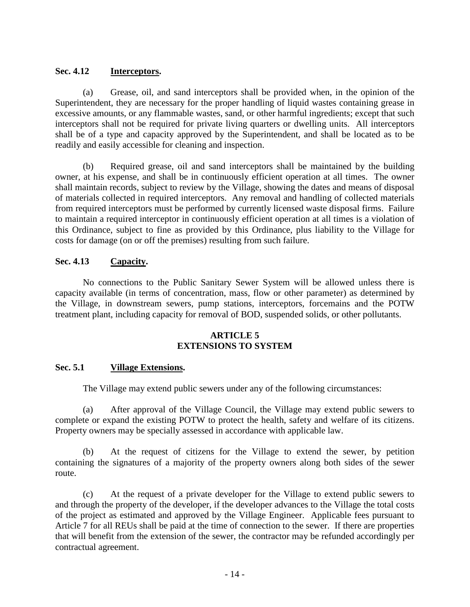## **Sec. 4.12 Interceptors.**

(a) Grease, oil, and sand interceptors shall be provided when, in the opinion of the Superintendent, they are necessary for the proper handling of liquid wastes containing grease in excessive amounts, or any flammable wastes, sand, or other harmful ingredients; except that such interceptors shall not be required for private living quarters or dwelling units. All interceptors shall be of a type and capacity approved by the Superintendent, and shall be located as to be readily and easily accessible for cleaning and inspection.

(b) Required grease, oil and sand interceptors shall be maintained by the building owner, at his expense, and shall be in continuously efficient operation at all times. The owner shall maintain records, subject to review by the Village, showing the dates and means of disposal of materials collected in required interceptors. Any removal and handling of collected materials from required interceptors must be performed by currently licensed waste disposal firms. Failure to maintain a required interceptor in continuously efficient operation at all times is a violation of this Ordinance, subject to fine as provided by this Ordinance, plus liability to the Village for costs for damage (on or off the premises) resulting from such failure.

## **Sec. 4.13 Capacity.**

No connections to the Public Sanitary Sewer System will be allowed unless there is capacity available (in terms of concentration, mass, flow or other parameter) as determined by the Village, in downstream sewers, pump stations, interceptors, forcemains and the POTW treatment plant, including capacity for removal of BOD, suspended solids, or other pollutants.

## **ARTICLE 5 EXTENSIONS TO SYSTEM**

### **Sec. 5.1 Village Extensions.**

The Village may extend public sewers under any of the following circumstances:

(a) After approval of the Village Council, the Village may extend public sewers to complete or expand the existing POTW to protect the health, safety and welfare of its citizens. Property owners may be specially assessed in accordance with applicable law.

(b) At the request of citizens for the Village to extend the sewer, by petition containing the signatures of a majority of the property owners along both sides of the sewer route.

(c) At the request of a private developer for the Village to extend public sewers to and through the property of the developer, if the developer advances to the Village the total costs of the project as estimated and approved by the Village Engineer. Applicable fees pursuant to Article 7 for all REUs shall be paid at the time of connection to the sewer. If there are properties that will benefit from the extension of the sewer, the contractor may be refunded accordingly per contractual agreement.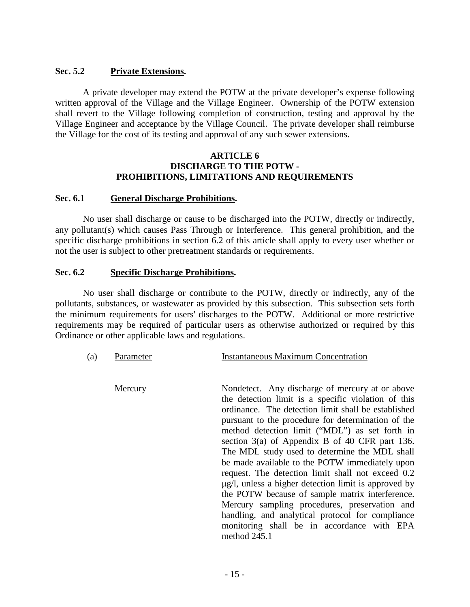## **Sec. 5.2 Private Extensions.**

A private developer may extend the POTW at the private developer's expense following written approval of the Village and the Village Engineer. Ownership of the POTW extension shall revert to the Village following completion of construction, testing and approval by the Village Engineer and acceptance by the Village Council. The private developer shall reimburse the Village for the cost of its testing and approval of any such sewer extensions.

#### **ARTICLE 6 DISCHARGE TO THE POTW - PROHIBITIONS, LIMITATIONS AND REQUIREMENTS**

### **Sec. 6.1 General Discharge Prohibitions.**

No user shall discharge or cause to be discharged into the POTW, directly or indirectly, any pollutant(s) which causes Pass Through or Interference. This general prohibition, and the specific discharge prohibitions in section 6.2 of this article shall apply to every user whether or not the user is subject to other pretreatment standards or requirements.

#### **Sec. 6.2 Specific Discharge Prohibitions.**

No user shall discharge or contribute to the POTW, directly or indirectly, any of the pollutants, substances, or wastewater as provided by this subsection. This subsection sets forth the minimum requirements for users' discharges to the POTW. Additional or more restrictive requirements may be required of particular users as otherwise authorized or required by this Ordinance or other applicable laws and regulations.

| (a) | Parameter | <b>Instantaneous Maximum Concentration</b>                                                                                                                                                                                                                                                                                                                                                                                                                                                                                                                                                                                                                                                                                                                         |
|-----|-----------|--------------------------------------------------------------------------------------------------------------------------------------------------------------------------------------------------------------------------------------------------------------------------------------------------------------------------------------------------------------------------------------------------------------------------------------------------------------------------------------------------------------------------------------------------------------------------------------------------------------------------------------------------------------------------------------------------------------------------------------------------------------------|
|     | Mercury   | Nondetect. Any discharge of mercury at or above<br>the detection limit is a specific violation of this<br>ordinance. The detection limit shall be established<br>pursuant to the procedure for determination of the<br>method detection limit ("MDL") as set forth in<br>section 3(a) of Appendix B of 40 CFR part 136.<br>The MDL study used to determine the MDL shall<br>be made available to the POTW immediately upon<br>request. The detection limit shall not exceed 0.2<br>$\mu$ g/l, unless a higher detection limit is approved by<br>the POTW because of sample matrix interference.<br>Mercury sampling procedures, preservation and<br>handling, and analytical protocol for compliance<br>monitoring shall be in accordance with EPA<br>method 245.1 |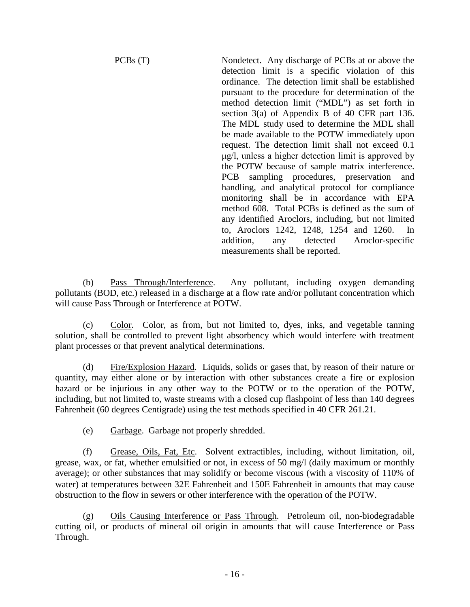PCBs (T) Nondetect. Any discharge of PCBs at or above the detection limit is a specific violation of this ordinance. The detection limit shall be established pursuant to the procedure for determination of the method detection limit ("MDL") as set forth in section 3(a) of Appendix B of 40 CFR part 136. The MDL study used to determine the MDL shall be made available to the POTW immediately upon request. The detection limit shall not exceed 0.1 μg/l, unless a higher detection limit is approved by the POTW because of sample matrix interference. PCB sampling procedures, preservation and handling, and analytical protocol for compliance monitoring shall be in accordance with EPA method 608. Total PCBs is defined as the sum of any identified Aroclors, including, but not limited to, Aroclors 1242, 1248, 1254 and 1260. In addition, any detected Aroclor-specific measurements shall be reported.

(b) Pass Through/Interference. Any pollutant, including oxygen demanding pollutants (BOD, etc.) released in a discharge at a flow rate and/or pollutant concentration which will cause Pass Through or Interference at POTW.

(c) Color. Color, as from, but not limited to, dyes, inks, and vegetable tanning solution, shall be controlled to prevent light absorbency which would interfere with treatment plant processes or that prevent analytical determinations.

(d) Fire/Explosion Hazard. Liquids, solids or gases that, by reason of their nature or quantity, may either alone or by interaction with other substances create a fire or explosion hazard or be injurious in any other way to the POTW or to the operation of the POTW, including, but not limited to, waste streams with a closed cup flashpoint of less than 140 degrees Fahrenheit (60 degrees Centigrade) using the test methods specified in 40 CFR 261.21.

(e) Garbage. Garbage not properly shredded.

(f) Grease, Oils, Fat, Etc. Solvent extractibles, including, without limitation, oil, grease, wax, or fat, whether emulsified or not, in excess of 50 mg/l (daily maximum or monthly average); or other substances that may solidify or become viscous (with a viscosity of 110% of water) at temperatures between 32E Fahrenheit and 150E Fahrenheit in amounts that may cause obstruction to the flow in sewers or other interference with the operation of the POTW.

(g) Oils Causing Interference or Pass Through. Petroleum oil, non-biodegradable cutting oil, or products of mineral oil origin in amounts that will cause Interference or Pass Through.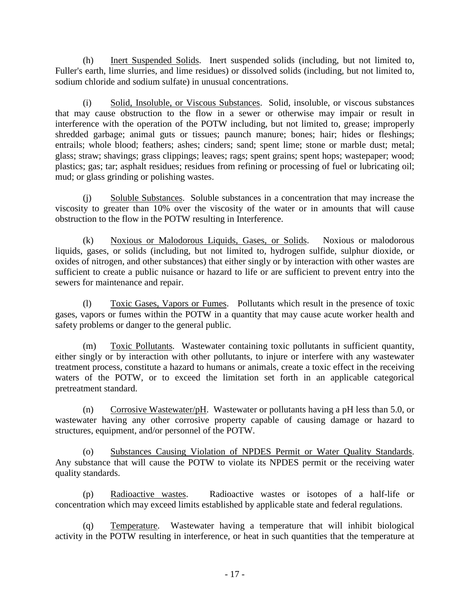(h) Inert Suspended Solids. Inert suspended solids (including, but not limited to, Fuller's earth, lime slurries, and lime residues) or dissolved solids (including, but not limited to, sodium chloride and sodium sulfate) in unusual concentrations.

(i) Solid, Insoluble, or Viscous Substances. Solid, insoluble, or viscous substances that may cause obstruction to the flow in a sewer or otherwise may impair or result in interference with the operation of the POTW including, but not limited to, grease; improperly shredded garbage; animal guts or tissues; paunch manure; bones; hair; hides or fleshings; entrails; whole blood; feathers; ashes; cinders; sand; spent lime; stone or marble dust; metal; glass; straw; shavings; grass clippings; leaves; rags; spent grains; spent hops; wastepaper; wood; plastics; gas; tar; asphalt residues; residues from refining or processing of fuel or lubricating oil; mud; or glass grinding or polishing wastes.

(j) Soluble Substances. Soluble substances in a concentration that may increase the viscosity to greater than 10% over the viscosity of the water or in amounts that will cause obstruction to the flow in the POTW resulting in Interference.

(k) Noxious or Malodorous Liquids, Gases, or Solids. Noxious or malodorous liquids, gases, or solids (including, but not limited to, hydrogen sulfide, sulphur dioxide, or oxides of nitrogen, and other substances) that either singly or by interaction with other wastes are sufficient to create a public nuisance or hazard to life or are sufficient to prevent entry into the sewers for maintenance and repair.

(l) Toxic Gases, Vapors or Fumes. Pollutants which result in the presence of toxic gases, vapors or fumes within the POTW in a quantity that may cause acute worker health and safety problems or danger to the general public.

(m) Toxic Pollutants. Wastewater containing toxic pollutants in sufficient quantity, either singly or by interaction with other pollutants, to injure or interfere with any wastewater treatment process, constitute a hazard to humans or animals, create a toxic effect in the receiving waters of the POTW, or to exceed the limitation set forth in an applicable categorical pretreatment standard.

(n) Corrosive Wastewater/pH. Wastewater or pollutants having a pH less than 5.0, or wastewater having any other corrosive property capable of causing damage or hazard to structures, equipment, and/or personnel of the POTW.

(o) Substances Causing Violation of NPDES Permit or Water Quality Standards. Any substance that will cause the POTW to violate its NPDES permit or the receiving water quality standards.

(p) Radioactive wastes. Radioactive wastes or isotopes of a half-life or concentration which may exceed limits established by applicable state and federal regulations.

(q) Temperature. Wastewater having a temperature that will inhibit biological activity in the POTW resulting in interference, or heat in such quantities that the temperature at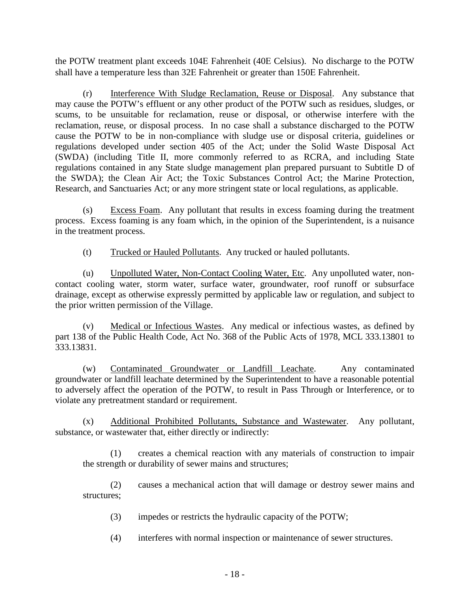the POTW treatment plant exceeds 104Ε Fahrenheit (40Ε Celsius). No discharge to the POTW shall have a temperature less than 32Ε Fahrenheit or greater than 150Ε Fahrenheit.

(r) Interference With Sludge Reclamation, Reuse or Disposal. Any substance that may cause the POTW's effluent or any other product of the POTW such as residues, sludges, or scums, to be unsuitable for reclamation, reuse or disposal, or otherwise interfere with the reclamation, reuse, or disposal process. In no case shall a substance discharged to the POTW cause the POTW to be in non-compliance with sludge use or disposal criteria, guidelines or regulations developed under section 405 of the Act; under the Solid Waste Disposal Act (SWDA) (including Title II, more commonly referred to as RCRA, and including State regulations contained in any State sludge management plan prepared pursuant to Subtitle D of the SWDA); the Clean Air Act; the Toxic Substances Control Act; the Marine Protection, Research, and Sanctuaries Act; or any more stringent state or local regulations, as applicable.

(s) Excess Foam. Any pollutant that results in excess foaming during the treatment process. Excess foaming is any foam which, in the opinion of the Superintendent, is a nuisance in the treatment process.

(t) Trucked or Hauled Pollutants. Any trucked or hauled pollutants.

(u) Unpolluted Water, Non-Contact Cooling Water, Etc. Any unpolluted water, noncontact cooling water, storm water, surface water, groundwater, roof runoff or subsurface drainage, except as otherwise expressly permitted by applicable law or regulation, and subject to the prior written permission of the Village.

(v) Medical or Infectious Wastes. Any medical or infectious wastes, as defined by part 138 of the Public Health Code, Act No. 368 of the Public Acts of 1978, MCL 333.13801 to 333.13831.

(w) Contaminated Groundwater or Landfill Leachate. Any contaminated groundwater or landfill leachate determined by the Superintendent to have a reasonable potential to adversely affect the operation of the POTW, to result in Pass Through or Interference, or to violate any pretreatment standard or requirement.

(x) Additional Prohibited Pollutants, Substance and Wastewater. Any pollutant, substance, or wastewater that, either directly or indirectly:

(1) creates a chemical reaction with any materials of construction to impair the strength or durability of sewer mains and structures;

(2) causes a mechanical action that will damage or destroy sewer mains and structures;

- (3) impedes or restricts the hydraulic capacity of the POTW;
- (4) interferes with normal inspection or maintenance of sewer structures.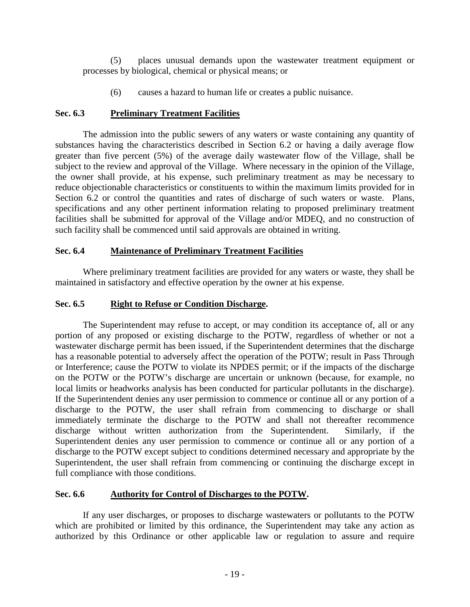(5) places unusual demands upon the wastewater treatment equipment or processes by biological, chemical or physical means; or

(6) causes a hazard to human life or creates a public nuisance.

# **Sec. 6.3 Preliminary Treatment Facilities**

The admission into the public sewers of any waters or waste containing any quantity of substances having the characteristics described in Section 6.2 or having a daily average flow greater than five percent (5%) of the average daily wastewater flow of the Village, shall be subject to the review and approval of the Village. Where necessary in the opinion of the Village, the owner shall provide, at his expense, such preliminary treatment as may be necessary to reduce objectionable characteristics or constituents to within the maximum limits provided for in Section 6.2 or control the quantities and rates of discharge of such waters or waste. Plans, specifications and any other pertinent information relating to proposed preliminary treatment facilities shall be submitted for approval of the Village and/or MDEQ, and no construction of such facility shall be commenced until said approvals are obtained in writing.

# **Sec. 6.4 Maintenance of Preliminary Treatment Facilities**

Where preliminary treatment facilities are provided for any waters or waste, they shall be maintained in satisfactory and effective operation by the owner at his expense.

# **Sec. 6.5 Right to Refuse or Condition Discharge.**

The Superintendent may refuse to accept, or may condition its acceptance of, all or any portion of any proposed or existing discharge to the POTW, regardless of whether or not a wastewater discharge permit has been issued, if the Superintendent determines that the discharge has a reasonable potential to adversely affect the operation of the POTW; result in Pass Through or Interference; cause the POTW to violate its NPDES permit; or if the impacts of the discharge on the POTW or the POTW's discharge are uncertain or unknown (because, for example, no local limits or headworks analysis has been conducted for particular pollutants in the discharge). If the Superintendent denies any user permission to commence or continue all or any portion of a discharge to the POTW, the user shall refrain from commencing to discharge or shall immediately terminate the discharge to the POTW and shall not thereafter recommence discharge without written authorization from the Superintendent. Similarly, if the Superintendent denies any user permission to commence or continue all or any portion of a discharge to the POTW except subject to conditions determined necessary and appropriate by the Superintendent, the user shall refrain from commencing or continuing the discharge except in full compliance with those conditions.

# **Sec. 6.6 Authority for Control of Discharges to the POTW.**

If any user discharges, or proposes to discharge wastewaters or pollutants to the POTW which are prohibited or limited by this ordinance, the Superintendent may take any action as authorized by this Ordinance or other applicable law or regulation to assure and require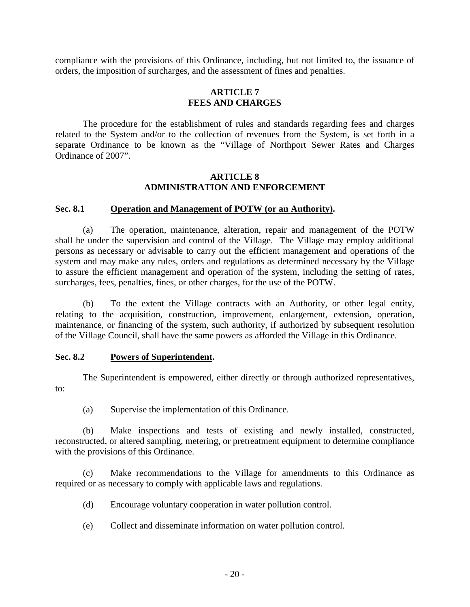compliance with the provisions of this Ordinance, including, but not limited to, the issuance of orders, the imposition of surcharges, and the assessment of fines and penalties.

### **ARTICLE 7 FEES AND CHARGES**

The procedure for the establishment of rules and standards regarding fees and charges related to the System and/or to the collection of revenues from the System, is set forth in a separate Ordinance to be known as the "Village of Northport Sewer Rates and Charges Ordinance of 2007".

### **ARTICLE 8 ADMINISTRATION AND ENFORCEMENT**

### **Sec. 8.1 Operation and Management of POTW (or an Authority).**

(a) The operation, maintenance, alteration, repair and management of the POTW shall be under the supervision and control of the Village. The Village may employ additional persons as necessary or advisable to carry out the efficient management and operations of the system and may make any rules, orders and regulations as determined necessary by the Village to assure the efficient management and operation of the system, including the setting of rates, surcharges, fees, penalties, fines, or other charges, for the use of the POTW.

(b) To the extent the Village contracts with an Authority, or other legal entity, relating to the acquisition, construction, improvement, enlargement, extension, operation, maintenance, or financing of the system, such authority, if authorized by subsequent resolution of the Village Council, shall have the same powers as afforded the Village in this Ordinance.

### **Sec. 8.2 Powers of Superintendent.**

The Superintendent is empowered, either directly or through authorized representatives, to:

(a) Supervise the implementation of this Ordinance.

(b) Make inspections and tests of existing and newly installed, constructed, reconstructed, or altered sampling, metering, or pretreatment equipment to determine compliance with the provisions of this Ordinance.

(c) Make recommendations to the Village for amendments to this Ordinance as required or as necessary to comply with applicable laws and regulations.

- (d) Encourage voluntary cooperation in water pollution control.
- (e) Collect and disseminate information on water pollution control.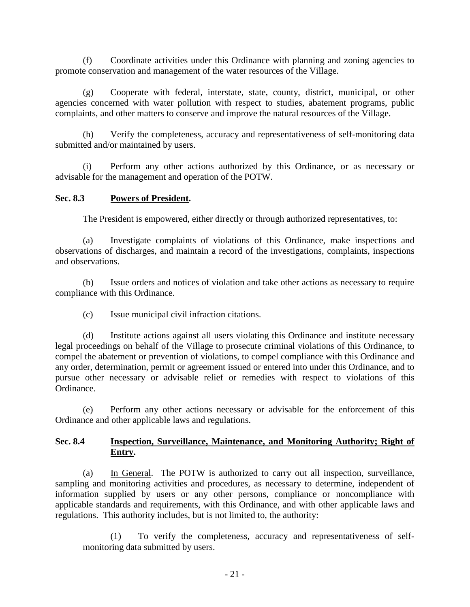(f) Coordinate activities under this Ordinance with planning and zoning agencies to promote conservation and management of the water resources of the Village.

(g) Cooperate with federal, interstate, state, county, district, municipal, or other agencies concerned with water pollution with respect to studies, abatement programs, public complaints, and other matters to conserve and improve the natural resources of the Village.

(h) Verify the completeness, accuracy and representativeness of self-monitoring data submitted and/or maintained by users.

(i) Perform any other actions authorized by this Ordinance, or as necessary or advisable for the management and operation of the POTW.

## **Sec. 8.3 Powers of President.**

The President is empowered, either directly or through authorized representatives, to:

(a) Investigate complaints of violations of this Ordinance, make inspections and observations of discharges, and maintain a record of the investigations, complaints, inspections and observations.

(b) Issue orders and notices of violation and take other actions as necessary to require compliance with this Ordinance.

(c) Issue municipal civil infraction citations.

(d) Institute actions against all users violating this Ordinance and institute necessary legal proceedings on behalf of the Village to prosecute criminal violations of this Ordinance, to compel the abatement or prevention of violations, to compel compliance with this Ordinance and any order, determination, permit or agreement issued or entered into under this Ordinance, and to pursue other necessary or advisable relief or remedies with respect to violations of this Ordinance.

(e) Perform any other actions necessary or advisable for the enforcement of this Ordinance and other applicable laws and regulations.

# **Sec. 8.4 Inspection, Surveillance, Maintenance, and Monitoring Authority; Right of Entry.**

(a) In General. The POTW is authorized to carry out all inspection, surveillance, sampling and monitoring activities and procedures, as necessary to determine, independent of information supplied by users or any other persons, compliance or noncompliance with applicable standards and requirements, with this Ordinance, and with other applicable laws and regulations. This authority includes, but is not limited to, the authority:

(1) To verify the completeness, accuracy and representativeness of selfmonitoring data submitted by users.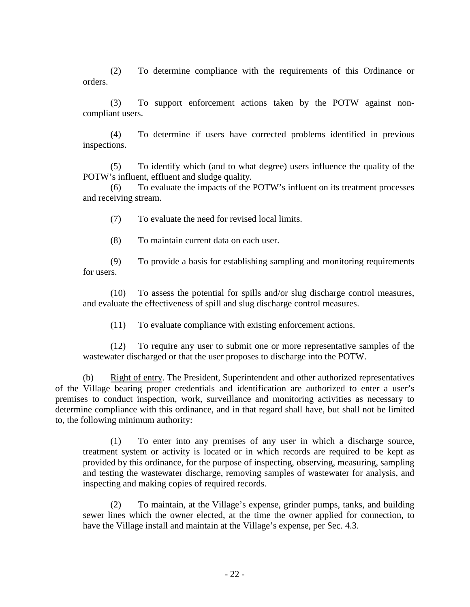(2) To determine compliance with the requirements of this Ordinance or orders.

(3) To support enforcement actions taken by the POTW against noncompliant users.

(4) To determine if users have corrected problems identified in previous inspections.

(5) To identify which (and to what degree) users influence the quality of the POTW's influent, effluent and sludge quality.

(6) To evaluate the impacts of the POTW's influent on its treatment processes and receiving stream.

(7) To evaluate the need for revised local limits.

(8) To maintain current data on each user.

(9) To provide a basis for establishing sampling and monitoring requirements for users.

(10) To assess the potential for spills and/or slug discharge control measures, and evaluate the effectiveness of spill and slug discharge control measures.

(11) To evaluate compliance with existing enforcement actions.

(12) To require any user to submit one or more representative samples of the wastewater discharged or that the user proposes to discharge into the POTW.

(b) Right of entry. The President, Superintendent and other authorized representatives of the Village bearing proper credentials and identification are authorized to enter a user's premises to conduct inspection, work, surveillance and monitoring activities as necessary to determine compliance with this ordinance, and in that regard shall have, but shall not be limited to, the following minimum authority:

(1) To enter into any premises of any user in which a discharge source, treatment system or activity is located or in which records are required to be kept as provided by this ordinance, for the purpose of inspecting, observing, measuring, sampling and testing the wastewater discharge, removing samples of wastewater for analysis, and inspecting and making copies of required records.

(2) To maintain, at the Village's expense, grinder pumps, tanks, and building sewer lines which the owner elected, at the time the owner applied for connection, to have the Village install and maintain at the Village's expense, per Sec. 4.3.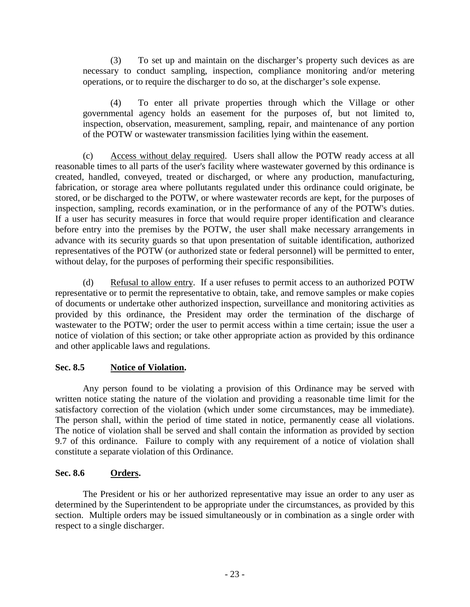(3) To set up and maintain on the discharger's property such devices as are necessary to conduct sampling, inspection, compliance monitoring and/or metering operations, or to require the discharger to do so, at the discharger's sole expense.

(4) To enter all private properties through which the Village or other governmental agency holds an easement for the purposes of, but not limited to, inspection, observation, measurement, sampling, repair, and maintenance of any portion of the POTW or wastewater transmission facilities lying within the easement.

(c) Access without delay required. Users shall allow the POTW ready access at all reasonable times to all parts of the user's facility where wastewater governed by this ordinance is created, handled, conveyed, treated or discharged, or where any production, manufacturing, fabrication, or storage area where pollutants regulated under this ordinance could originate, be stored, or be discharged to the POTW, or where wastewater records are kept, for the purposes of inspection, sampling, records examination, or in the performance of any of the POTW's duties. If a user has security measures in force that would require proper identification and clearance before entry into the premises by the POTW, the user shall make necessary arrangements in advance with its security guards so that upon presentation of suitable identification, authorized representatives of the POTW (or authorized state or federal personnel) will be permitted to enter, without delay, for the purposes of performing their specific responsibilities.

(d) Refusal to allow entry. If a user refuses to permit access to an authorized POTW representative or to permit the representative to obtain, take, and remove samples or make copies of documents or undertake other authorized inspection, surveillance and monitoring activities as provided by this ordinance, the President may order the termination of the discharge of wastewater to the POTW; order the user to permit access within a time certain; issue the user a notice of violation of this section; or take other appropriate action as provided by this ordinance and other applicable laws and regulations.

# **Sec. 8.5 Notice of Violation.**

Any person found to be violating a provision of this Ordinance may be served with written notice stating the nature of the violation and providing a reasonable time limit for the satisfactory correction of the violation (which under some circumstances, may be immediate). The person shall, within the period of time stated in notice, permanently cease all violations. The notice of violation shall be served and shall contain the information as provided by section 9.7 of this ordinance. Failure to comply with any requirement of a notice of violation shall constitute a separate violation of this Ordinance.

# **Sec. 8.6 Orders.**

The President or his or her authorized representative may issue an order to any user as determined by the Superintendent to be appropriate under the circumstances, as provided by this section. Multiple orders may be issued simultaneously or in combination as a single order with respect to a single discharger.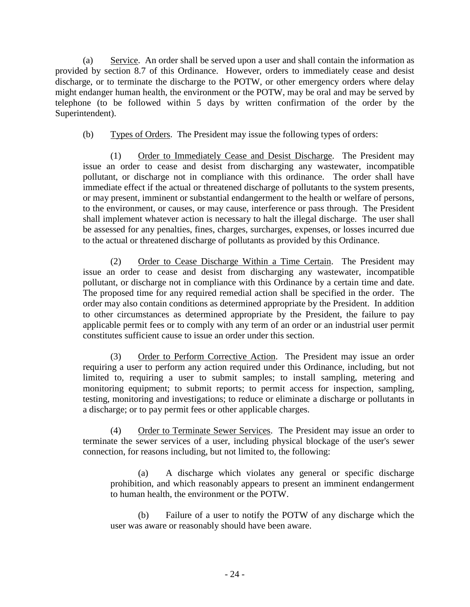(a) Service. An order shall be served upon a user and shall contain the information as provided by section 8.7 of this Ordinance. However, orders to immediately cease and desist discharge, or to terminate the discharge to the POTW, or other emergency orders where delay might endanger human health, the environment or the POTW, may be oral and may be served by telephone (to be followed within 5 days by written confirmation of the order by the Superintendent).

(b) Types of Orders. The President may issue the following types of orders:

(1) Order to Immediately Cease and Desist Discharge. The President may issue an order to cease and desist from discharging any wastewater, incompatible pollutant, or discharge not in compliance with this ordinance. The order shall have immediate effect if the actual or threatened discharge of pollutants to the system presents, or may present, imminent or substantial endangerment to the health or welfare of persons, to the environment, or causes, or may cause, interference or pass through. The President shall implement whatever action is necessary to halt the illegal discharge. The user shall be assessed for any penalties, fines, charges, surcharges, expenses, or losses incurred due to the actual or threatened discharge of pollutants as provided by this Ordinance.

(2) Order to Cease Discharge Within a Time Certain. The President may issue an order to cease and desist from discharging any wastewater, incompatible pollutant, or discharge not in compliance with this Ordinance by a certain time and date. The proposed time for any required remedial action shall be specified in the order. The order may also contain conditions as determined appropriate by the President. In addition to other circumstances as determined appropriate by the President, the failure to pay applicable permit fees or to comply with any term of an order or an industrial user permit constitutes sufficient cause to issue an order under this section.

(3) Order to Perform Corrective Action. The President may issue an order requiring a user to perform any action required under this Ordinance, including, but not limited to, requiring a user to submit samples; to install sampling, metering and monitoring equipment; to submit reports; to permit access for inspection, sampling, testing, monitoring and investigations; to reduce or eliminate a discharge or pollutants in a discharge; or to pay permit fees or other applicable charges.

(4) Order to Terminate Sewer Services. The President may issue an order to terminate the sewer services of a user, including physical blockage of the user's sewer connection, for reasons including, but not limited to, the following:

(a) A discharge which violates any general or specific discharge prohibition, and which reasonably appears to present an imminent endangerment to human health, the environment or the POTW.

(b) Failure of a user to notify the POTW of any discharge which the user was aware or reasonably should have been aware.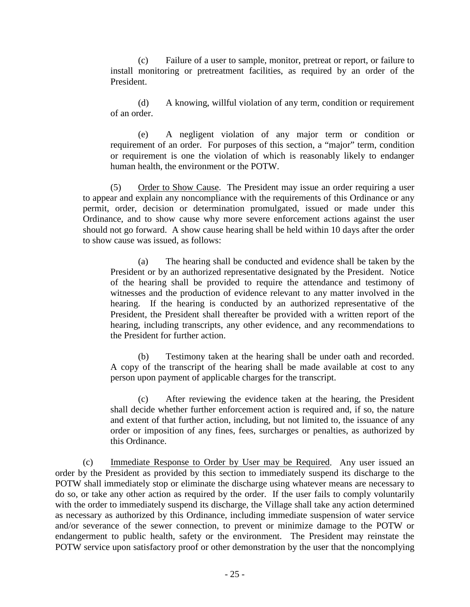(c) Failure of a user to sample, monitor, pretreat or report, or failure to install monitoring or pretreatment facilities, as required by an order of the President.

(d) A knowing, willful violation of any term, condition or requirement of an order.

(e) A negligent violation of any major term or condition or requirement of an order. For purposes of this section, a "major" term, condition or requirement is one the violation of which is reasonably likely to endanger human health, the environment or the POTW.

(5) Order to Show Cause. The President may issue an order requiring a user to appear and explain any noncompliance with the requirements of this Ordinance or any permit, order, decision or determination promulgated, issued or made under this Ordinance, and to show cause why more severe enforcement actions against the user should not go forward. A show cause hearing shall be held within 10 days after the order to show cause was issued, as follows:

(a) The hearing shall be conducted and evidence shall be taken by the President or by an authorized representative designated by the President. Notice of the hearing shall be provided to require the attendance and testimony of witnesses and the production of evidence relevant to any matter involved in the hearing. If the hearing is conducted by an authorized representative of the President, the President shall thereafter be provided with a written report of the hearing, including transcripts, any other evidence, and any recommendations to the President for further action.

(b) Testimony taken at the hearing shall be under oath and recorded. A copy of the transcript of the hearing shall be made available at cost to any person upon payment of applicable charges for the transcript.

(c) After reviewing the evidence taken at the hearing, the President shall decide whether further enforcement action is required and, if so, the nature and extent of that further action, including, but not limited to, the issuance of any order or imposition of any fines, fees, surcharges or penalties, as authorized by this Ordinance.

(c) Immediate Response to Order by User may be Required. Any user issued an order by the President as provided by this section to immediately suspend its discharge to the POTW shall immediately stop or eliminate the discharge using whatever means are necessary to do so, or take any other action as required by the order. If the user fails to comply voluntarily with the order to immediately suspend its discharge, the Village shall take any action determined as necessary as authorized by this Ordinance, including immediate suspension of water service and/or severance of the sewer connection, to prevent or minimize damage to the POTW or endangerment to public health, safety or the environment. The President may reinstate the POTW service upon satisfactory proof or other demonstration by the user that the noncomplying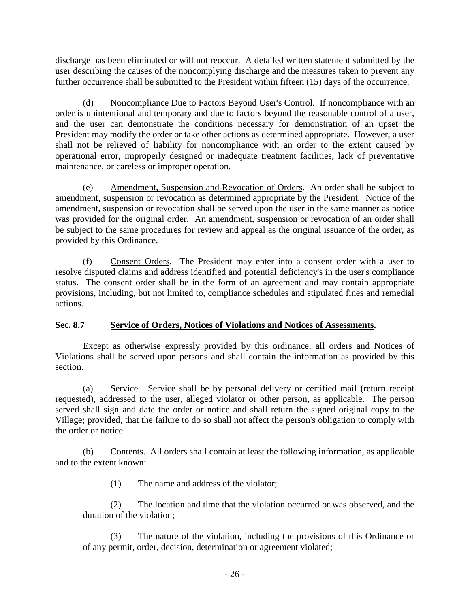discharge has been eliminated or will not reoccur. A detailed written statement submitted by the user describing the causes of the noncomplying discharge and the measures taken to prevent any further occurrence shall be submitted to the President within fifteen (15) days of the occurrence.

(d) Noncompliance Due to Factors Beyond User's Control. If noncompliance with an order is unintentional and temporary and due to factors beyond the reasonable control of a user, and the user can demonstrate the conditions necessary for demonstration of an upset the President may modify the order or take other actions as determined appropriate. However, a user shall not be relieved of liability for noncompliance with an order to the extent caused by operational error, improperly designed or inadequate treatment facilities, lack of preventative maintenance, or careless or improper operation.

(e) Amendment, Suspension and Revocation of Orders. An order shall be subject to amendment, suspension or revocation as determined appropriate by the President. Notice of the amendment, suspension or revocation shall be served upon the user in the same manner as notice was provided for the original order. An amendment, suspension or revocation of an order shall be subject to the same procedures for review and appeal as the original issuance of the order, as provided by this Ordinance.

(f) Consent Orders. The President may enter into a consent order with a user to resolve disputed claims and address identified and potential deficiency's in the user's compliance status. The consent order shall be in the form of an agreement and may contain appropriate provisions, including, but not limited to, compliance schedules and stipulated fines and remedial actions.

# **Sec. 8.7 Service of Orders, Notices of Violations and Notices of Assessments.**

Except as otherwise expressly provided by this ordinance, all orders and Notices of Violations shall be served upon persons and shall contain the information as provided by this section.

(a) Service. Service shall be by personal delivery or certified mail (return receipt requested), addressed to the user, alleged violator or other person, as applicable. The person served shall sign and date the order or notice and shall return the signed original copy to the Village; provided, that the failure to do so shall not affect the person's obligation to comply with the order or notice.

(b) Contents. All orders shall contain at least the following information, as applicable and to the extent known:

(1) The name and address of the violator;

(2) The location and time that the violation occurred or was observed, and the duration of the violation;

(3) The nature of the violation, including the provisions of this Ordinance or of any permit, order, decision, determination or agreement violated;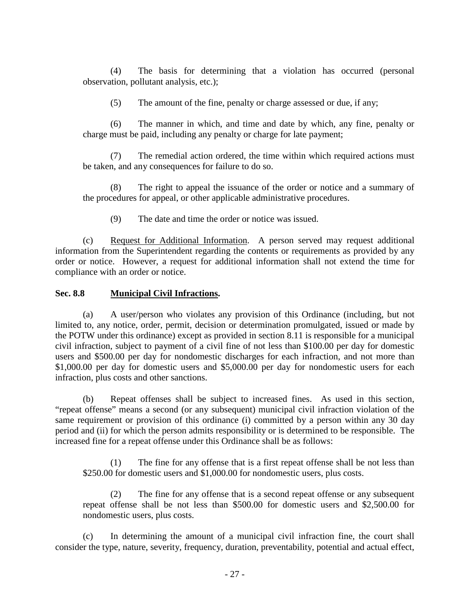(4) The basis for determining that a violation has occurred (personal observation, pollutant analysis, etc.);

(5) The amount of the fine, penalty or charge assessed or due, if any;

(6) The manner in which, and time and date by which, any fine, penalty or charge must be paid, including any penalty or charge for late payment;

(7) The remedial action ordered, the time within which required actions must be taken, and any consequences for failure to do so.

(8) The right to appeal the issuance of the order or notice and a summary of the procedures for appeal, or other applicable administrative procedures.

(9) The date and time the order or notice was issued.

(c) Request for Additional Information. A person served may request additional information from the Superintendent regarding the contents or requirements as provided by any order or notice. However, a request for additional information shall not extend the time for compliance with an order or notice.

## **Sec. 8.8 Municipal Civil Infractions.**

(a) A user/person who violates any provision of this Ordinance (including, but not limited to, any notice, order, permit, decision or determination promulgated, issued or made by the POTW under this ordinance) except as provided in section 8.11 is responsible for a municipal civil infraction, subject to payment of a civil fine of not less than \$100.00 per day for domestic users and \$500.00 per day for nondomestic discharges for each infraction, and not more than \$1,000.00 per day for domestic users and \$5,000.00 per day for nondomestic users for each infraction, plus costs and other sanctions.

(b) Repeat offenses shall be subject to increased fines. As used in this section, "repeat offense" means a second (or any subsequent) municipal civil infraction violation of the same requirement or provision of this ordinance (i) committed by a person within any 30 day period and (ii) for which the person admits responsibility or is determined to be responsible. The increased fine for a repeat offense under this Ordinance shall be as follows:

(1) The fine for any offense that is a first repeat offense shall be not less than \$250.00 for domestic users and \$1,000.00 for nondomestic users, plus costs.

(2) The fine for any offense that is a second repeat offense or any subsequent repeat offense shall be not less than \$500.00 for domestic users and \$2,500.00 for nondomestic users, plus costs.

(c) In determining the amount of a municipal civil infraction fine, the court shall consider the type, nature, severity, frequency, duration, preventability, potential and actual effect,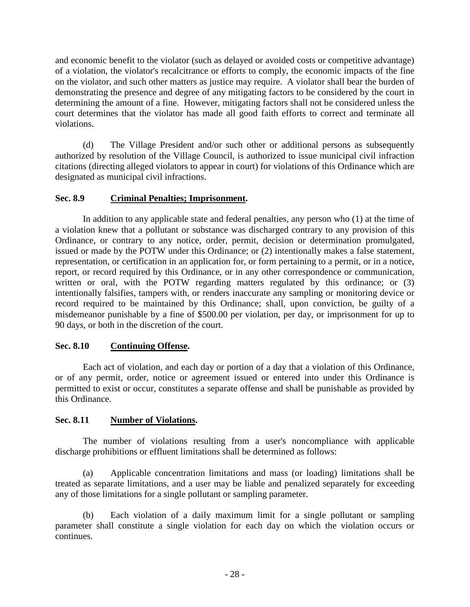and economic benefit to the violator (such as delayed or avoided costs or competitive advantage) of a violation, the violator's recalcitrance or efforts to comply, the economic impacts of the fine on the violator, and such other matters as justice may require. A violator shall bear the burden of demonstrating the presence and degree of any mitigating factors to be considered by the court in determining the amount of a fine. However, mitigating factors shall not be considered unless the court determines that the violator has made all good faith efforts to correct and terminate all violations.

(d) The Village President and/or such other or additional persons as subsequently authorized by resolution of the Village Council, is authorized to issue municipal civil infraction citations (directing alleged violators to appear in court) for violations of this Ordinance which are designated as municipal civil infractions.

# **Sec. 8.9 Criminal Penalties; Imprisonment.**

In addition to any applicable state and federal penalties, any person who (1) at the time of a violation knew that a pollutant or substance was discharged contrary to any provision of this Ordinance, or contrary to any notice, order, permit, decision or determination promulgated, issued or made by the POTW under this Ordinance; or (2) intentionally makes a false statement, representation, or certification in an application for, or form pertaining to a permit, or in a notice, report, or record required by this Ordinance, or in any other correspondence or communication, written or oral, with the POTW regarding matters regulated by this ordinance; or (3) intentionally falsifies, tampers with, or renders inaccurate any sampling or monitoring device or record required to be maintained by this Ordinance; shall, upon conviction, be guilty of a misdemeanor punishable by a fine of \$500.00 per violation, per day, or imprisonment for up to 90 days, or both in the discretion of the court.

# **Sec. 8.10 Continuing Offense.**

Each act of violation, and each day or portion of a day that a violation of this Ordinance, or of any permit, order, notice or agreement issued or entered into under this Ordinance is permitted to exist or occur, constitutes a separate offense and shall be punishable as provided by this Ordinance.

# **Sec. 8.11 Number of Violations.**

The number of violations resulting from a user's noncompliance with applicable discharge prohibitions or effluent limitations shall be determined as follows:

(a) Applicable concentration limitations and mass (or loading) limitations shall be treated as separate limitations, and a user may be liable and penalized separately for exceeding any of those limitations for a single pollutant or sampling parameter.

(b) Each violation of a daily maximum limit for a single pollutant or sampling parameter shall constitute a single violation for each day on which the violation occurs or continues.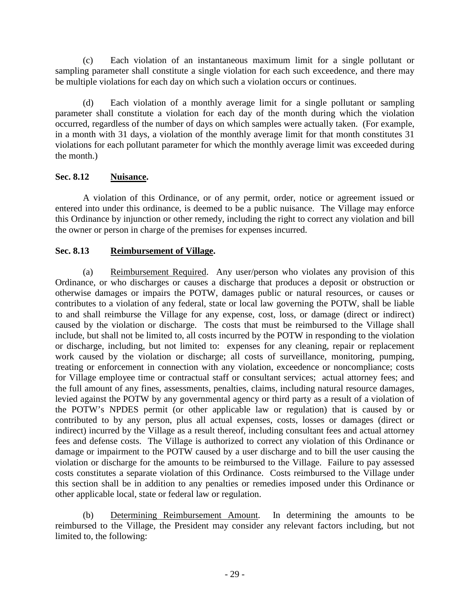(c) Each violation of an instantaneous maximum limit for a single pollutant or sampling parameter shall constitute a single violation for each such exceedence, and there may be multiple violations for each day on which such a violation occurs or continues.

(d) Each violation of a monthly average limit for a single pollutant or sampling parameter shall constitute a violation for each day of the month during which the violation occurred, regardless of the number of days on which samples were actually taken. (For example, in a month with 31 days, a violation of the monthly average limit for that month constitutes 31 violations for each pollutant parameter for which the monthly average limit was exceeded during the month.)

# **Sec. 8.12 Nuisance.**

A violation of this Ordinance, or of any permit, order, notice or agreement issued or entered into under this ordinance, is deemed to be a public nuisance. The Village may enforce this Ordinance by injunction or other remedy, including the right to correct any violation and bill the owner or person in charge of the premises for expenses incurred.

# **Sec. 8.13 Reimbursement of Village.**

(a) Reimbursement Required. Any user/person who violates any provision of this Ordinance, or who discharges or causes a discharge that produces a deposit or obstruction or otherwise damages or impairs the POTW, damages public or natural resources, or causes or contributes to a violation of any federal, state or local law governing the POTW, shall be liable to and shall reimburse the Village for any expense, cost, loss, or damage (direct or indirect) caused by the violation or discharge. The costs that must be reimbursed to the Village shall include, but shall not be limited to, all costs incurred by the POTW in responding to the violation or discharge, including, but not limited to: expenses for any cleaning, repair or replacement work caused by the violation or discharge; all costs of surveillance, monitoring, pumping, treating or enforcement in connection with any violation, exceedence or noncompliance; costs for Village employee time or contractual staff or consultant services; actual attorney fees; and the full amount of any fines, assessments, penalties, claims, including natural resource damages, levied against the POTW by any governmental agency or third party as a result of a violation of the POTW's NPDES permit (or other applicable law or regulation) that is caused by or contributed to by any person, plus all actual expenses, costs, losses or damages (direct or indirect) incurred by the Village as a result thereof, including consultant fees and actual attorney fees and defense costs. The Village is authorized to correct any violation of this Ordinance or damage or impairment to the POTW caused by a user discharge and to bill the user causing the violation or discharge for the amounts to be reimbursed to the Village. Failure to pay assessed costs constitutes a separate violation of this Ordinance. Costs reimbursed to the Village under this section shall be in addition to any penalties or remedies imposed under this Ordinance or other applicable local, state or federal law or regulation.

(b) Determining Reimbursement Amount. In determining the amounts to be reimbursed to the Village, the President may consider any relevant factors including, but not limited to, the following: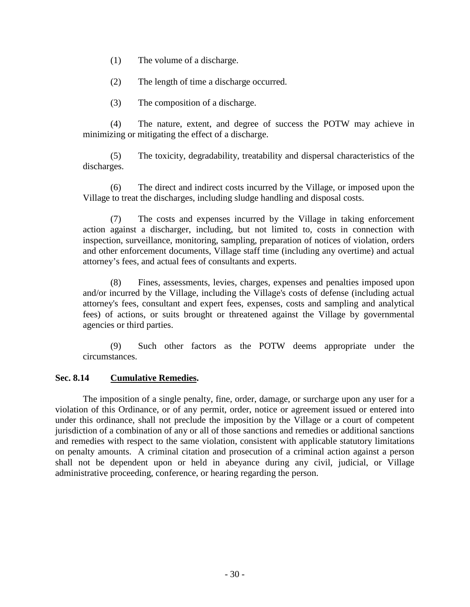- (1) The volume of a discharge.
- (2) The length of time a discharge occurred.
- (3) The composition of a discharge.

(4) The nature, extent, and degree of success the POTW may achieve in minimizing or mitigating the effect of a discharge.

(5) The toxicity, degradability, treatability and dispersal characteristics of the discharges.

(6) The direct and indirect costs incurred by the Village, or imposed upon the Village to treat the discharges, including sludge handling and disposal costs.

(7) The costs and expenses incurred by the Village in taking enforcement action against a discharger, including, but not limited to, costs in connection with inspection, surveillance, monitoring, sampling, preparation of notices of violation, orders and other enforcement documents, Village staff time (including any overtime) and actual attorney's fees, and actual fees of consultants and experts.

(8) Fines, assessments, levies, charges, expenses and penalties imposed upon and/or incurred by the Village, including the Village's costs of defense (including actual attorney's fees, consultant and expert fees, expenses, costs and sampling and analytical fees) of actions, or suits brought or threatened against the Village by governmental agencies or third parties.

(9) Such other factors as the POTW deems appropriate under the circumstances.

### **Sec. 8.14 Cumulative Remedies.**

The imposition of a single penalty, fine, order, damage, or surcharge upon any user for a violation of this Ordinance, or of any permit, order, notice or agreement issued or entered into under this ordinance, shall not preclude the imposition by the Village or a court of competent jurisdiction of a combination of any or all of those sanctions and remedies or additional sanctions and remedies with respect to the same violation, consistent with applicable statutory limitations on penalty amounts. A criminal citation and prosecution of a criminal action against a person shall not be dependent upon or held in abeyance during any civil, judicial, or Village administrative proceeding, conference, or hearing regarding the person.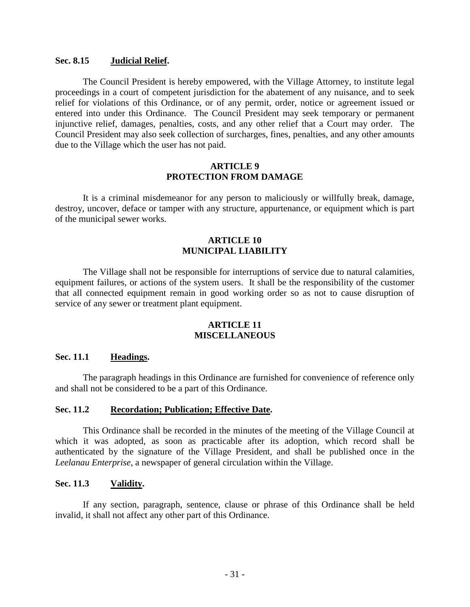#### **Sec. 8.15 Judicial Relief.**

The Council President is hereby empowered, with the Village Attorney, to institute legal proceedings in a court of competent jurisdiction for the abatement of any nuisance, and to seek relief for violations of this Ordinance, or of any permit, order, notice or agreement issued or entered into under this Ordinance. The Council President may seek temporary or permanent injunctive relief, damages, penalties, costs, and any other relief that a Court may order. The Council President may also seek collection of surcharges, fines, penalties, and any other amounts due to the Village which the user has not paid.

#### **ARTICLE 9 PROTECTION FROM DAMAGE**

It is a criminal misdemeanor for any person to maliciously or willfully break, damage, destroy, uncover, deface or tamper with any structure, appurtenance, or equipment which is part of the municipal sewer works.

### **ARTICLE 10 MUNICIPAL LIABILITY**

The Village shall not be responsible for interruptions of service due to natural calamities, equipment failures, or actions of the system users. It shall be the responsibility of the customer that all connected equipment remain in good working order so as not to cause disruption of service of any sewer or treatment plant equipment.

### **ARTICLE 11 MISCELLANEOUS**

### **Sec. 11.1 Headings.**

The paragraph headings in this Ordinance are furnished for convenience of reference only and shall not be considered to be a part of this Ordinance.

## **Sec. 11.2 Recordation; Publication; Effective Date.**

This Ordinance shall be recorded in the minutes of the meeting of the Village Council at which it was adopted, as soon as practicable after its adoption, which record shall be authenticated by the signature of the Village President, and shall be published once in the *Leelanau Enterprise*, a newspaper of general circulation within the Village.

### **Sec. 11.3 Validity.**

If any section, paragraph, sentence, clause or phrase of this Ordinance shall be held invalid, it shall not affect any other part of this Ordinance.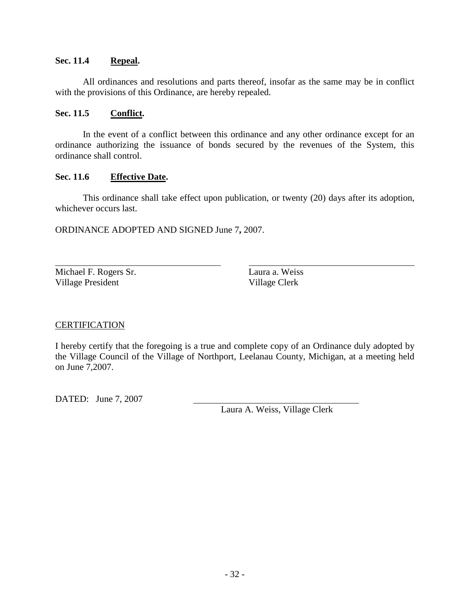## **Sec. 11.4 Repeal.**

All ordinances and resolutions and parts thereof, insofar as the same may be in conflict with the provisions of this Ordinance, are hereby repealed.

## **Sec. 11.5 Conflict.**

In the event of a conflict between this ordinance and any other ordinance except for an ordinance authorizing the issuance of bonds secured by the revenues of the System, this ordinance shall control.

## **Sec. 11.6 Effective Date.**

This ordinance shall take effect upon publication, or twenty (20) days after its adoption, whichever occurs last.

ORDINANCE ADOPTED AND SIGNED June 7**,** 2007.

Michael F. Rogers Sr. Laura a. Weiss Village President Village Clerk

# **CERTIFICATION**

I hereby certify that the foregoing is a true and complete copy of an Ordinance duly adopted by the Village Council of the Village of Northport, Leelanau County, Michigan, at a meeting held on June 7,2007.

DATED: June 7, 2007

Laura A. Weiss, Village Clerk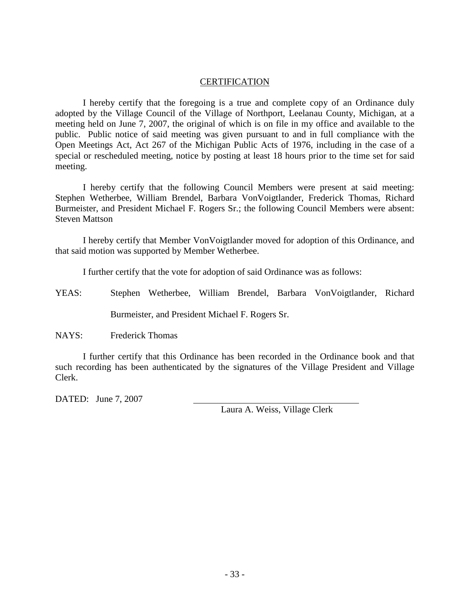#### **CERTIFICATION**

I hereby certify that the foregoing is a true and complete copy of an Ordinance duly adopted by the Village Council of the Village of Northport, Leelanau County, Michigan, at a meeting held on June 7, 2007, the original of which is on file in my office and available to the public. Public notice of said meeting was given pursuant to and in full compliance with the Open Meetings Act, Act 267 of the Michigan Public Acts of 1976, including in the case of a special or rescheduled meeting, notice by posting at least 18 hours prior to the time set for said meeting.

I hereby certify that the following Council Members were present at said meeting: Stephen Wetherbee, William Brendel, Barbara VonVoigtlander, Frederick Thomas, Richard Burmeister, and President Michael F. Rogers Sr.; the following Council Members were absent: Steven Mattson

I hereby certify that Member VonVoigtlander moved for adoption of this Ordinance, and that said motion was supported by Member Wetherbee.

I further certify that the vote for adoption of said Ordinance was as follows:

YEAS: Stephen Wetherbee, William Brendel, Barbara VonVoigtlander, Richard

Burmeister, and President Michael F. Rogers Sr.

NAYS: Frederick Thomas

I further certify that this Ordinance has been recorded in the Ordinance book and that such recording has been authenticated by the signatures of the Village President and Village Clerk.

DATED: June 7, 2007

Laura A. Weiss, Village Clerk